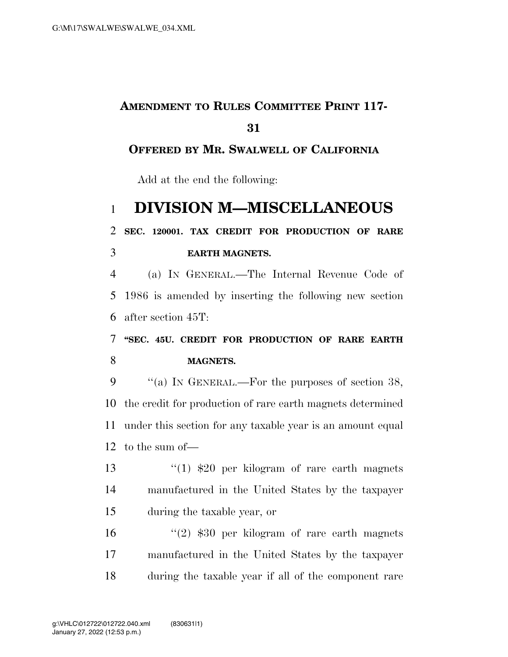## **AMENDMENT TO RULES COMMITTEE PRINT 117-**

#### **OFFERED BY MR. SWALWELL OF CALIFORNIA**

Add at the end the following:

## **DIVISION M—MISCELLANEOUS**

# **SEC. 120001. TAX CREDIT FOR PRODUCTION OF RARE EARTH MAGNETS.**

 (a) IN GENERAL.—The Internal Revenue Code of 1986 is amended by inserting the following new section after section 45T:

## **''SEC. 45U. CREDIT FOR PRODUCTION OF RARE EARTH MAGNETS.**

9 "(a) IN GENERAL.—For the purposes of section 38, the credit for production of rare earth magnets determined under this section for any taxable year is an amount equal to the sum of—

13 ''(1) \$20 per kilogram of rare earth magnets manufactured in the United States by the taxpayer during the taxable year, or

16 ''(2) \$30 per kilogram of rare earth magnets manufactured in the United States by the taxpayer during the taxable year if all of the component rare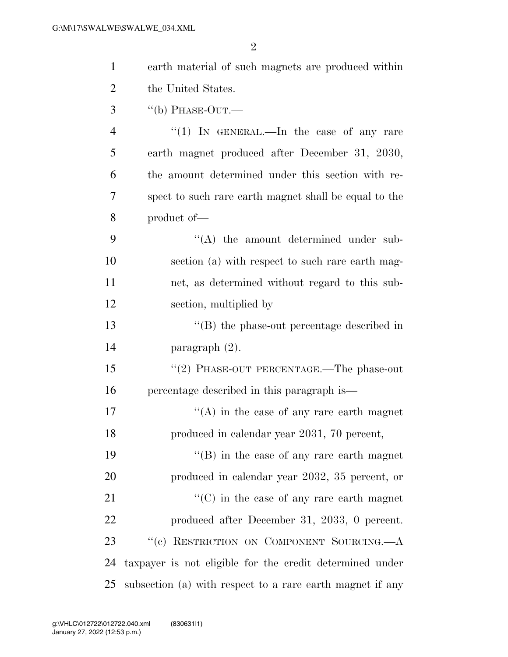| $\mathbf{1}$   | earth material of such magnets are produced within        |
|----------------|-----------------------------------------------------------|
| $\overline{2}$ | the United States.                                        |
| 3              | $``$ (b) PHASE-OUT.—                                      |
| $\overline{4}$ | "(1) IN GENERAL.—In the case of any rare                  |
| 5              | earth magnet produced after December 31, 2030,            |
| 6              | the amount determined under this section with re-         |
| 7              | spect to such rare earth magnet shall be equal to the     |
| 8              | product of-                                               |
| 9              | $\lq\lq$ the amount determined under sub-                 |
| 10             | section (a) with respect to such rare earth mag-          |
| 11             | net, as determined without regard to this sub-            |
| 12             | section, multiplied by                                    |
| 13             | $\lq\lq$ the phase-out percentage described in            |
| 14             | paragraph $(2)$ .                                         |
| 15             | "(2) PHASE-OUT PERCENTAGE.—The phase-out                  |
| 16             | percentage described in this paragraph is—                |
| 17             | $\lq\lq$ in the case of any rare earth magnet             |
| 18             | produced in calendar year 2031, 70 percent,               |
| 19             | $\lq\lq$ (B) in the case of any rare earth magnet         |
| 20             | produced in calendar year 2032, 35 percent, or            |
| 21             | $\lq\lq$ (C) in the case of any rare earth magnet         |
| 22             | produced after December 31, 2033, 0 percent.              |
| 23             | "(c) RESTRICTION ON COMPONENT SOURCING. <sup>---</sup> A  |
| 24             | taxpayer is not eligible for the credit determined under  |
| 25             | subsection (a) with respect to a rare earth magnet if any |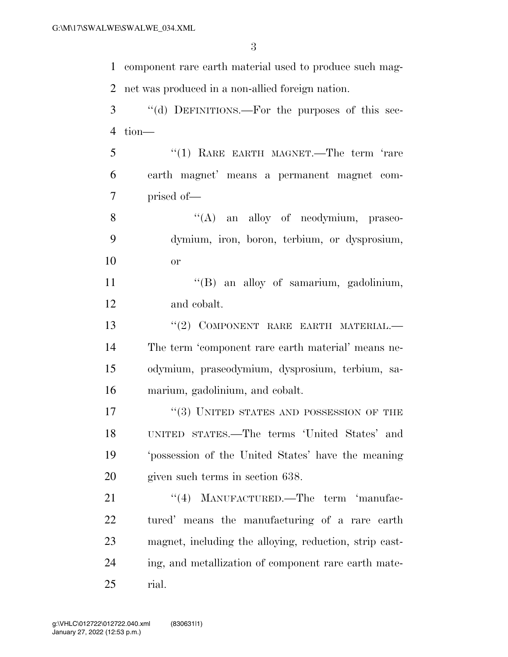component rare earth material used to produce such mag-net was produced in a non-allied foreign nation.

 ''(d) DEFINITIONS.—For the purposes of this sec-tion—

 ''(1) RARE EARTH MAGNET.—The term 'rare earth magnet' means a permanent magnet com-prised of—

8 ''(A) an alloy of neodymium, praseo- dymium, iron, boron, terbium, or dysprosium, or

 ''(B) an alloy of samarium, gadolinium, and cobalt.

13 "(2) COMPONENT RARE EARTH MATERIAL.— The term 'component rare earth material' means ne- odymium, praseodymium, dysprosium, terbium, sa-marium, gadolinium, and cobalt.

17 <sup>"</sup>(3) UNITED STATES AND POSSESSION OF THE UNITED STATES.—The terms 'United States' and 'possession of the United States' have the meaning given such terms in section 638.

21 "(4) MANUFACTURED.—The term 'manufac- tured' means the manufacturing of a rare earth magnet, including the alloying, reduction, strip cast- ing, and metallization of component rare earth mate-rial.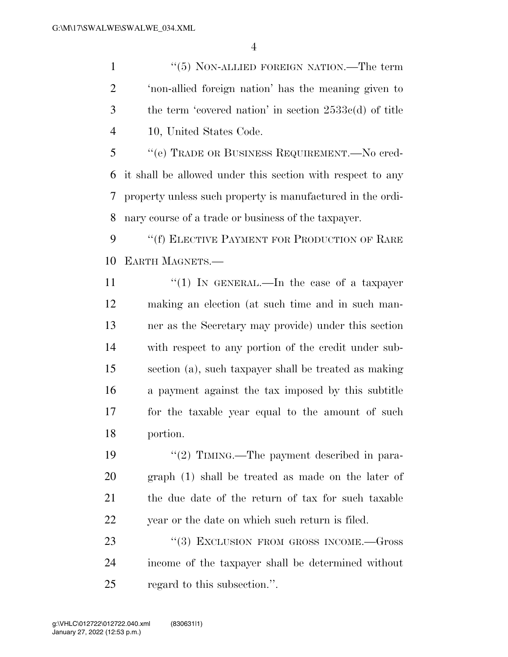1 ''(5) NON-ALLIED FOREIGN NATION.—The term 'non-allied foreign nation' has the meaning given to the term 'covered nation' in section 2533c(d) of title 10, United States Code.

 ''(e) TRADE OR BUSINESS REQUIREMENT.—No cred- it shall be allowed under this section with respect to any property unless such property is manufactured in the ordi-nary course of a trade or business of the taxpayer.

9 "(f) ELECTIVE PAYMENT FOR PRODUCTION OF RARE EARTH MAGNETS.—

 $\frac{1}{1}$  IN GENERAL.—In the case of a taxpayer making an election (at such time and in such man- ner as the Secretary may provide) under this section with respect to any portion of the credit under sub- section (a), such taxpayer shall be treated as making a payment against the tax imposed by this subtitle for the taxable year equal to the amount of such portion.

 $\frac{1}{2}$  TIMING. The payment described in para- graph (1) shall be treated as made on the later of the due date of the return of tax for such taxable year or the date on which such return is filed.

23 "(3) EXCLUSION FROM GROSS INCOME. Gross income of the taxpayer shall be determined without regard to this subsection.''.